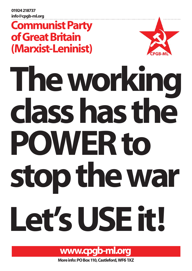01924 218737 info@cpgb-ml.org

## Communist Party of Great Britain (Marxist-Leninist)



# The working POWER to class has the stop the war Let's USE it!



More info: PO Box 110, Castleford, WF6 1XZ